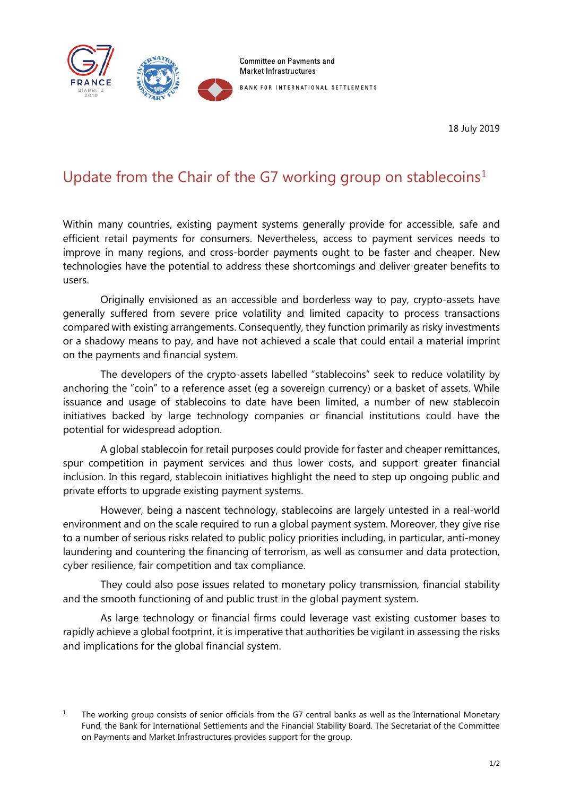

18 July 2019

## Update from the Chair of the G7 working group on stablecoins<sup>[1](#page-0-0)</sup>

Within many countries, existing payment systems generally provide for accessible, safe and efficient retail payments for consumers. Nevertheless, access to payment services needs to improve in many regions, and cross-border payments ought to be faster and cheaper. New technologies have the potential to address these shortcomings and deliver greater benefits to users.

Originally envisioned as an accessible and borderless way to pay, crypto-assets have generally suffered from severe price volatility and limited capacity to process transactions compared with existing arrangements. Consequently, they function primarily as risky investments or a shadowy means to pay, and have not achieved a scale that could entail a material imprint on the payments and financial system.

The developers of the crypto-assets labelled "stablecoins" seek to reduce volatility by anchoring the "coin" to a reference asset (eg a sovereign currency) or a basket of assets. While issuance and usage of stablecoins to date have been limited, a number of new stablecoin initiatives backed by large technology companies or financial institutions could have the potential for widespread adoption.

A global stablecoin for retail purposes could provide for faster and cheaper remittances, spur competition in payment services and thus lower costs, and support greater financial inclusion. In this regard, stablecoin initiatives highlight the need to step up ongoing public and private efforts to upgrade existing payment systems.

However, being a nascent technology, stablecoins are largely untested in a real-world environment and on the scale required to run a global payment system. Moreover, they give rise to a number of serious risks related to public policy priorities including, in particular, anti-money laundering and countering the financing of terrorism, as well as consumer and data protection, cyber resilience, fair competition and tax compliance.

They could also pose issues related to monetary policy transmission, financial stability and the smooth functioning of and public trust in the global payment system.

As large technology or financial firms could leverage vast existing customer bases to rapidly achieve a global footprint, it is imperative that authorities be vigilant in assessing the risks and implications for the global financial system.

<span id="page-0-0"></span><sup>&</sup>lt;sup>1</sup> The working group consists of senior officials from the G7 central banks as well as the International Monetary Fund, the Bank for International Settlements and the Financial Stability Board. The Secretariat of the Committee on Payments and Market Infrastructures provides support for the group.